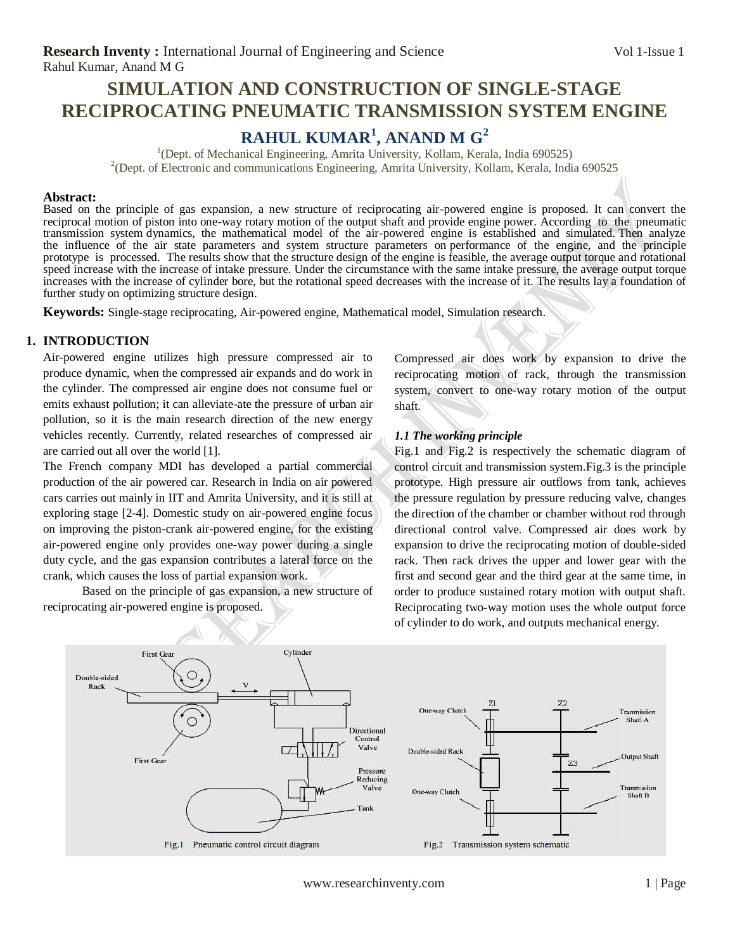## **SIMULATION AND CONSTRUCTION OF SINGLE-STAGE RECIPROCATING PNEUMATIC TRANSMISSION SYSTEM ENGINE**

# **RAHUL KUMAR<sup>1</sup> , ANAND M G<sup>2</sup>**

<sup>1</sup>(Dept. of Mechanical Engineering, Amrita University, Kollam, Kerala, India 690525) <sup>2</sup>(Dept. of Electronic and communications Engineering, Amrita University, Kollam, Kerala, India 690525

#### **Abstract:**

Based on the principle of gas expansion, a new structure of reciprocating air-powered engine is proposed. It can convert the reciprocal motion of piston into one-way rotary motion of the output shaft and provide engine power. According to the pneumatic transmission system dynamics, the mathematical model of the air-powered engine is established and simulated. Then analyze the influence of the air state parameters and system structure parameters on performance of the engine, and the principle prototype is processed. The results show that the structure design of the engine is feasible, the average output torque and rotational speed increase with the increase of intake pressure. Under the circumstance with the same intake pressure, the average output torque increases with the increase of cylinder bore, but the rotational speed decreases with the increase of it. The results lay a foundation of further study on optimizing structure design.

**Keywords:** Single-stage reciprocating, Air-powered engine, Mathematical model, Simulation research.

#### **1. INTRODUCTION**

Air-powered engine utilizes high pressure compressed air to produce dynamic, when the compressed air expands and do work in the cylinder. The compressed air engine does not consume fuel or emits exhaust pollution; it can alleviate-ate the pressure of urban air pollution, so it is the main research direction of the new energy vehicles recently. Currently, related researches of compressed air are carried out all over the world [1].

The French company MDI has developed a partial commercial production of the air powered car. Research in India on air powered cars carries out mainly in IIT and Amrita University, and it is still at exploring stage [2-4]. Domestic study on air-powered engine focus on improving the piston-crank air-powered engine, for the existing air-powered engine only provides one-way power during a single duty cycle, and the gas expansion contributes a lateral force on the crank, which causes the loss of partial expansion work.

 Based on the principle of gas expansion, a new structure of reciprocating air-powered engine is proposed.

Compressed air does work by expansion to drive the reciprocating motion of rack, through the transmission system, convert to one-way rotary motion of the output shaft.

#### *1.1 The working principle*

Fig.1 and Fig.2 is respectively the schematic diagram of control circuit and transmission system.Fig.3 is the principle prototype. High pressure air outflows from tank, achieves the pressure regulation by pressure reducing valve, changes the direction of the chamber or chamber without rod through directional control valve. Compressed air does work by expansion to drive the reciprocating motion of double-sided rack. Then rack drives the upper and lower gear with the first and second gear and the third gear at the same time, in order to produce sustained rotary motion with output shaft. Reciprocating two-way motion uses the whole output force of cylinder to do work, and outputs mechanical energy.

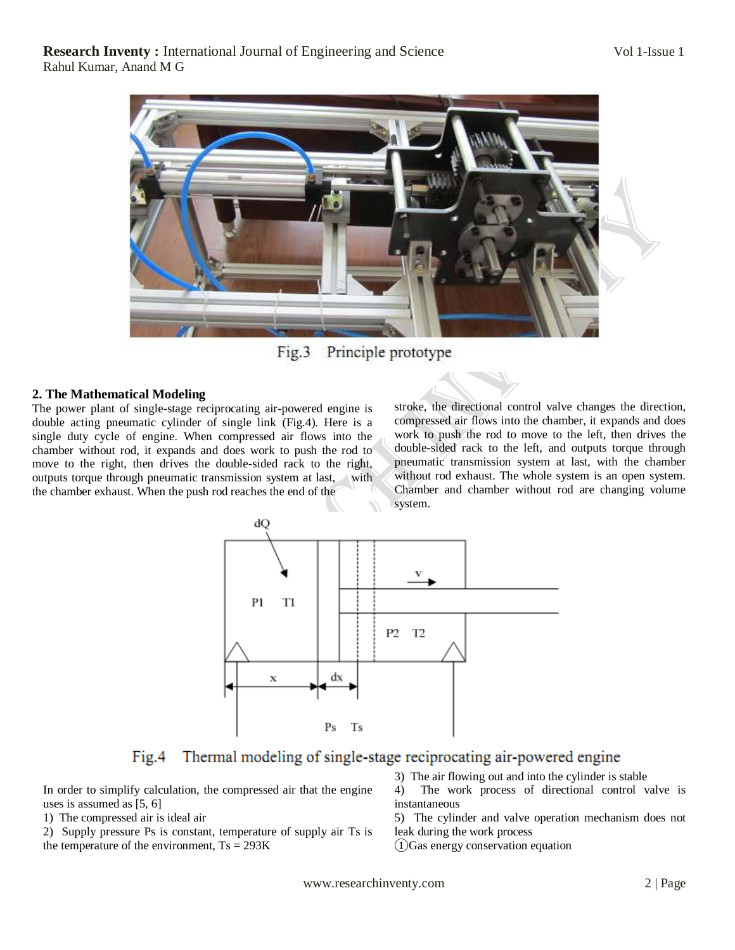

Fig.3 Principle prototype

## **2. The Mathematical Modeling**

The power plant of single-stage reciprocating air-powered engine is double acting pneumatic cylinder of single link (Fig.4). Here is a single duty cycle of engine. When compressed air flows into the chamber without rod, it expands and does work to push the rod to move to the right, then drives the double-sided rack to the right, outputs torque through pneumatic transmission system at last, with the chamber exhaust. When the push rod reaches the end of the

stroke, the directional control valve changes the direction, compressed air flows into the chamber, it expands and does work to push the rod to move to the left, then drives the double-sided rack to the left, and outputs torque through pneumatic transmission system at last, with the chamber without rod exhaust. The whole system is an open system. Chamber and chamber without rod are changing volume system.



Thermal modeling of single-stage reciprocating air-powered engine  $Fig.4$ 

In order to simplify calculation, the compressed air that the engine uses is assumed as [5, 6]

1) The compressed air is ideal air

2) Supply pressure Ps is constant, temperature of supply air Ts is the temperature of the environment,  $Ts = 293K$ 

3) The air flowing out and into the cylinder is stable

4) The work process of directional control valve is instantaneous

5) The cylinder and valve operation mechanism does not leak during the work process

①Gas energy conservation equation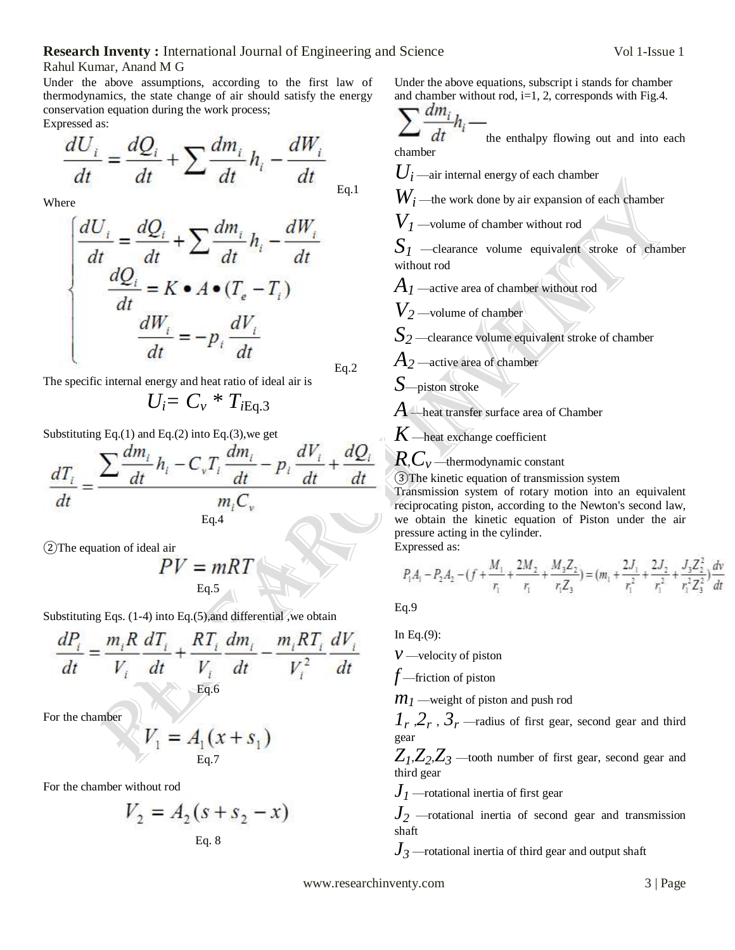#### **Research Inventy :** International Journal of Engineering and Science Vol 1-Issue 1

Rahul Kumar, Anand M G

Under the above assumptions, according to the first law of thermodynamics, the state change of air should satisfy the energy conservation equation during the work process; Expressed as:

$$
\frac{dU_i}{dt} = \frac{dQ_i}{dt} + \sum \frac{dm_i}{dt} h_i - \frac{dW_i}{dt}
$$
<sub>Eq.1</sub>

Where

$$
\begin{cases}\n\frac{dU_i}{dt} = \frac{dQ_i}{dt} + \sum \frac{dm_i}{dt} h_i - \frac{dW_i}{dt} \\
\frac{dQ_i}{dt} = K \bullet A \bullet (T_e - T_i) \\
\frac{dW_i}{dt} = -p_i \frac{dV_i}{dt} \\
\frac{dV_i}{dt} = -p_i \frac{dV_i}{dt}\n\end{cases} \quad \text{Eq.2}
$$

The specific internal energy and heat ratio of ideal air is

$$
U_i = C_v * T_{iEq.3}
$$

Substituting Eq.(1) and Eq.(2) into Eq.(3),we get

$$
\frac{dT_i}{dt} = \frac{\sum \frac{dm_i}{dt} h_i - C_v T_i \frac{dm_i}{dt} - p_i \frac{dV_i}{dt} + \frac{dQ_i}{dt}}{m_i C_v}
$$

②The equation of ideal air

$$
PV = mRT
$$
  
Eq.5

Substituting Eqs. (1-4) into Eq.(5),and differential ,we obtain

$$
\frac{dP_i}{dt} = \frac{m_i R}{V_i} \frac{dT_i}{dt} + \frac{RT_i}{V_i} \frac{dm_i}{dt} - \frac{m_i RT_i}{V_i^2} \frac{dV_i}{dt}
$$
  
Eq.6

For the chamber

$$
V_1 = A_1(x + s_1)
$$
<sub>Eq.7</sub>

For the chamber without rod

$$
V_2 = A_2(s + s_2 - x)
$$
  
Eq. 8

Under the above equations, subscript i stands for chamber and chamber without rod,  $i=1$ , 2, corresponds with Fig.4.

$$
\sum \frac{dm_i}{dt} h_i -
$$

the enthalpy flowing out and into each chamber

 $U_i$  —air internal energy of each chamber

 $W_i$  —the work done by air expansion of each chamber

*V<sup>1</sup>* —volume of chamber without rod

 $S_I$  —clearance volume equivalent stroke of chamber without rod

*A<sup>1</sup>* —active area of chamber without rod

*V<sup>2</sup>* —volume of chamber

*S<sup>2</sup>* —clearance volume equivalent stroke of chamber

*A<sup>2</sup>* —active area of chamber

*S*—piston stroke

*A* —heat transfer surface area of Chamber

*K* —heat exchange coefficient

*R*,*C<sup>v</sup>* —thermodynamic constant

③The kinetic equation of transmission system Transmission system of rotary motion into an equivalent reciprocating piston, according to the Newton's second law, we obtain the kinetic equation of Piston under the air pressure acting in the cylinder. Expressed as:

$$
P_1A_1 - P_2A_2 - (f + \frac{M_1}{r_1} + \frac{2M_2}{r_1} + \frac{M_3Z_2}{r_1Z_3}) = (m_1 + \frac{2J_1}{r_1^2} + \frac{2J_2}{r_1^2} + \frac{J_3Z_2^2}{r_1^2Z_3^2})\frac{dN_1}{dt}
$$

Eq.9

In Eq.(9):

*v* —velocity of piston

*f* —friction of piston

*m*<sub>1</sub> —weight of piston and push rod

 $1$ <sup>*r*</sup>,  $2$ <sup>*r*</sup>,  $3$ <sup>*r*</sup> —radius of first gear, second gear and third gear

 $Z_1$ , $Z_2$ , $Z_3$  —tooth number of first gear, second gear and third gear

*J<sup>1</sup>* —rotational inertia of first gear

*J<sup>2</sup>* —rotational inertia of second gear and transmission shaft

*J<sup>3</sup>* —rotational inertia of third gear and output shaft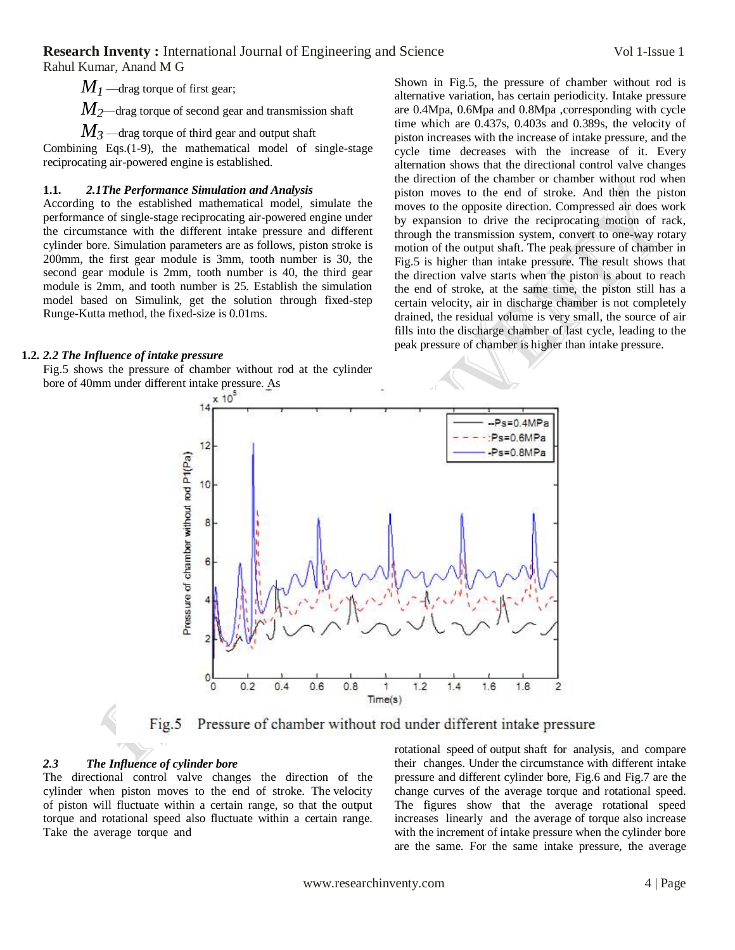**Research Inventy:** International Journal of Engineering and Science Vol 1-Issue 1

Rahul Kumar, Anand M G

 $M<sub>I</sub>$ —drag torque of first gear;

*M2*—drag torque of second gear and transmission shaft

 $M_3$ —drag torque of third gear and output shaft

Combining Eqs.(1-9), the mathematical model of single-stage reciprocating air-powered engine is established.

### **1.1.** *2.1The Performance Simulation and Analysis*

According to the established mathematical model, simulate the performance of single-stage reciprocating air-powered engine under the circumstance with the different intake pressure and different cylinder bore. Simulation parameters are as follows, piston stroke is 200mm, the first gear module is 3mm, tooth number is 30, the second gear module is 2mm, tooth number is 40, the third gear module is 2mm, and tooth number is 25. Establish the simulation model based on Simulink, get the solution through fixed-step Runge-Kutta method, the fixed-size is 0.01ms.

### **1.2.** *2.2 The Influence of intake pressure*

Fig.5 shows the pressure of chamber without rod at the cylinder bore of 40mm under different intake pressure. As

Shown in Fig.5, the pressure of chamber without rod is alternative variation, has certain periodicity. Intake pressure are 0.4Mpa, 0.6Mpa and 0.8Mpa ,corresponding with cycle time which are 0.437s, 0.403s and 0.389s, the velocity of piston increases with the increase of intake pressure, and the cycle time decreases with the increase of it. Every alternation shows that the directional control valve changes the direction of the chamber or chamber without rod when piston moves to the end of stroke. And then the piston moves to the opposite direction. Compressed air does work by expansion to drive the reciprocating motion of rack, through the transmission system, convert to one-way rotary motion of the output shaft. The peak pressure of chamber in Fig.5 is higher than intake pressure. The result shows that the direction valve starts when the piston is about to reach the end of stroke, at the same time, the piston still has a certain velocity, air in discharge chamber is not completely drained, the residual volume is very small, the source of air fills into the discharge chamber of last cycle, leading to the peak pressure of chamber is higher than intake pressure.





#### *2.3 The Influence of cylinder bore*

The directional control valve changes the direction of the cylinder when piston moves to the end of stroke. The velocity of piston will fluctuate within a certain range, so that the output torque and rotational speed also fluctuate within a certain range. Take the average torque and

rotational speed of output shaft for analysis, and compare their changes. Under the circumstance with different intake pressure and different cylinder bore, Fig.6 and Fig.7 are the change curves of the average torque and rotational speed. The figures show that the average rotational speed increases linearly and the average of torque also increase with the increment of intake pressure when the cylinder bore are the same. For the same intake pressure, the average